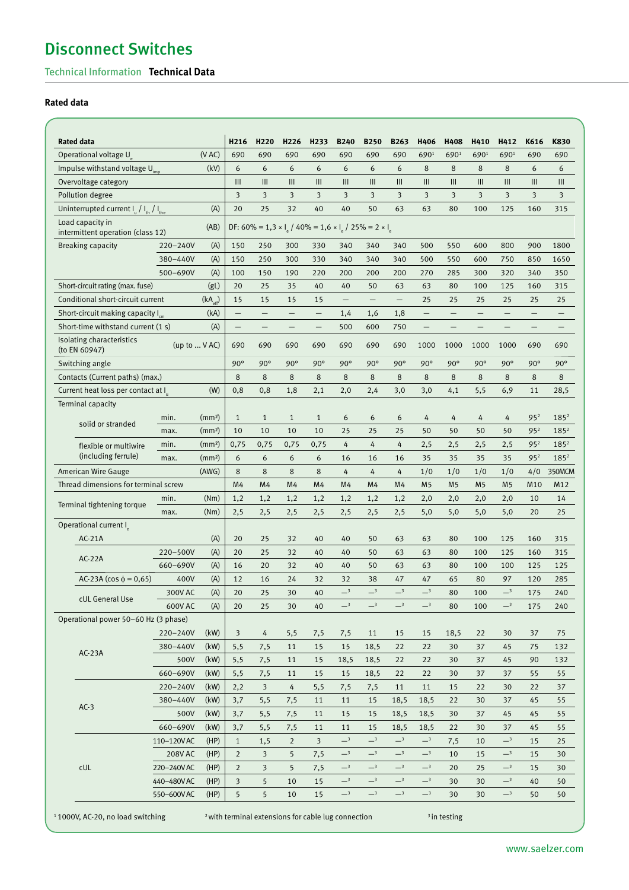# Disconnect Switches

## Technical Information **Technical Data**

## **Rated data**

| <b>Rated data</b>                                     |              |                     | H216                                            | H <sub>220</sub>        | H <sub>226</sub>         | H <sub>233</sub>         | <b>B240</b>                | <b>B250</b>              | <b>B263</b>                | H406                       | H408           | H410           | H412                     | K616                    | K830             |
|-------------------------------------------------------|--------------|---------------------|-------------------------------------------------|-------------------------|--------------------------|--------------------------|----------------------------|--------------------------|----------------------------|----------------------------|----------------|----------------|--------------------------|-------------------------|------------------|
| Operational voltage U                                 |              | (VAC)               | 690                                             | 690                     | 690                      | 690                      | 690                        | 690                      | 690                        | 6901                       | 6901           | 6901           | 6901                     | 690                     | 690              |
| Impulse withstand voltage U <sub>imp</sub>            |              | (kV)                | 6                                               | 6                       | 6                        | 6                        | 6                          | 6                        | 6                          | 8                          | 8              | 8              | 8                        | 6                       | 6                |
| Overvoltage category                                  |              | III                 | III                                             | III                     | III                      | III                      | III                        | III                      | III                        | III                        | III            | III            | III                      | III                     |                  |
| Pollution degree                                      |              |                     | $\overline{\mathbf{3}}$                         | $\overline{\mathbf{3}}$ | $\overline{\mathbf{3}}$  | 3                        | 3                          | 3                        | 3                          | 3                          | 3              | 3              | $\overline{\mathbf{3}}$  | $\overline{\mathbf{3}}$ | 3                |
| Uninterrupted current $I_u / I_{th} / I_{the}$        |              | (A)                 | 20                                              | 25                      | 32                       | 40                       | 40                         | 50                       | 63                         | 63                         | 80             | 100            | 125                      | 160                     | 315              |
| Load capacity in<br>intermittent operation (class 12) |              | (AB)                | DF: 60% = 1,3 x l / 40% = 1,6 x l / 25% = 2 x l |                         |                          |                          |                            |                          |                            |                            |                |                |                          |                         |                  |
| <b>Breaking capacity</b>                              | 220-240V     | (A)                 | 150                                             | 250                     | 300                      | 330                      | 340                        | 340                      | 340                        | 500                        | 550            | 600            | 800                      | 900                     | 1800             |
|                                                       | 380-440V     | (A)                 | 150                                             | 250                     | 300                      | 330                      | 340                        | 340                      | 340                        | 500                        | 550            | 600            | 750                      | 850                     | 1650             |
|                                                       | 500-690V     | (A)                 | 100                                             | 150                     | 190                      | 220                      | 200                        | 200                      | 200                        | 270                        | 285            | 300            | 320                      | 340                     | 350              |
| Short-circuit rating (max. fuse)                      |              | (gL)                | 20                                              | 25                      | 35                       | 40                       | 40                         | 50                       | 63                         | 63                         | 80             | 100            | 125                      | 160                     | 315              |
| Conditional short-circuit current                     |              | $(kA_{\text{eff}})$ | 15                                              | 15                      | 15                       | 15                       | $\qquad \qquad -$          | $\overline{\phantom{0}}$ | $\overline{\phantom{0}}$   | 25                         | 25             | 25             | 25                       | 25                      | 25               |
| Short-circuit making capacity I                       |              | (kA)                | $\overline{\phantom{0}}$                        | $\qquad \qquad -$       | $\qquad \qquad -$        | $\overline{\phantom{m}}$ | 1,4                        | 1,6                      | 1,8                        | $\qquad \qquad -$          |                |                | $\overline{\phantom{0}}$ |                         |                  |
| Short-time withstand current (1 s)                    |              | (A)                 | $\overline{\phantom{0}}$                        | $\qquad \qquad -$       | $\overline{\phantom{0}}$ | $\qquad \qquad -$        | 500                        | 600                      | 750                        | $\overline{\phantom{0}}$   |                |                | $\overline{\phantom{0}}$ |                         |                  |
| Isolating characteristics<br>(to EN 60947)            | (up to  VAC) |                     | 690                                             | 690                     | 690                      | 690                      | 690                        | 690                      | 690                        | 1000                       | 1000           | 1000           | 1000                     | 690                     | 690              |
| Switching angle                                       |              |                     | $90^\circ$                                      | $90^\circ$              | $90^\circ$               | $90^\circ$               | $90^\circ$                 | $90^\circ$               | $90^\circ$                 | $90^\circ$                 | $90^\circ$     | $90^\circ$     | $90^\circ$               | $90^\circ$              | $90^\circ$       |
| Contacts (Current paths) (max.)                       |              |                     | 8                                               | 8                       | 8                        | 8                        | 8                          | 8                        | 8                          | 8                          | 8              | 8              | 8                        | 8                       | 8                |
| Current heat loss per contact at I                    |              | (W)                 | 0,8                                             | 0,8                     | 1,8                      | 2,1                      | 2,0                        | 2,4                      | 3,0                        | 3,0                        | 4,1            | 5,5            | 6,9                      | 11                      | 28,5             |
| Terminal capacity                                     |              |                     |                                                 |                         |                          |                          |                            |                          |                            |                            |                |                |                          |                         |                  |
| solid or stranded                                     | min.         | (mm <sup>2</sup> )  | $\mathbf{1}$                                    | $\mathbf{1}$            | $\mathbf{1}$             | $\mathbf{1}$             | 6                          | 6                        | 6                          | 4                          | 4              | 4              | 4                        | 95 <sup>2</sup>         | 185 <sup>2</sup> |
|                                                       | max.         | (mm <sup>2</sup> )  | 10                                              | 10                      | 10                       | 10                       | 25                         | 25                       | 25                         | 50                         | 50             | 50             | 50                       | 95 <sup>2</sup>         | 185 <sup>2</sup> |
| flexible or multiwire                                 | min.         | (mm <sup>2</sup> )  | 0,75                                            | 0,75                    | 0,75                     | 0,75                     | 4                          | 4                        | 4                          | 2,5                        | 2,5            | 2,5            | 2,5                      | 95 <sup>2</sup>         | 185 <sup>2</sup> |
| (including ferrule)                                   | max.         | (mm <sup>2</sup> )  | 6                                               | 6                       | 6                        | 6                        | 16                         | 16                       | 16                         | 35                         | 35             | 35             | 35                       | 95 <sup>2</sup>         | 185 <sup>2</sup> |
| <b>American Wire Gauge</b>                            |              | (AWG)               | 8                                               | 8                       | 8                        | 8                        | 4                          | 4                        | 4                          | 1/0                        | 1/0            | 1/0            | 1/0                      | 4/0                     | 350MCM           |
| Thread dimensions for terminal screw                  |              | M4                  | M4                                              | M4                      | M4                       | M <sub>4</sub>           | M4                         | M4                       | M <sub>5</sub>             | M <sub>5</sub>             | M <sub>5</sub> | M <sub>5</sub> | M10                      | M12                     |                  |
|                                                       | min.         | (Nm)                | 1,2                                             | 1,2                     | 1,2                      | 1,2                      | 1,2                        | 1,2                      | 1,2                        | 2,0                        | 2,0            | 2,0            | 2,0                      | 10                      | 14               |
| Terminal tightening torque                            | max.         | (Nm)                | 2,5                                             | 2,5                     | 2,5                      | 2,5                      | 2,5                        | 2,5                      | 2,5                        | 5,0                        | 5,0            | 5,0            | 5,0                      | 20                      | 25               |
| Operational current I                                 |              |                     |                                                 |                         |                          |                          |                            |                          |                            |                            |                |                |                          |                         |                  |
| $AC-21A$                                              |              | (A)                 | 20                                              | 25                      | 32                       | 40                       | 40                         | 50                       | 63                         | 63                         | 80             | 100            | 125                      | 160                     | 315              |
|                                                       | 220-500V     | (A)                 | 20                                              | 25                      | 32                       | 40                       | 40                         | 50                       | 63                         | 63                         | 80             | 100            | 125                      | 160                     | 315              |
| $AC-22A$                                              | 660-690V     | (A)                 | 16                                              | 20                      | 32                       | 40                       | 40                         | 50                       | 63                         | 63                         | 80             | 100            | 100                      | 125                     | 125              |
| $AC-23A$ (cos $\phi = 0.65$ )                         | 400V         | (A)                 | 12                                              | 16                      | 24                       | 32                       | 32                         | 38                       | 47                         | 47                         | 65             | 80             | 97                       | 120                     | 285              |
|                                                       | 300V AC      | (A)                 | 20                                              | 25                      | 30                       | 40                       | $\overline{\phantom{0}}^3$ | $-3$                     | $\overline{\phantom{0}}^3$ | $\overline{\phantom{0}}^3$ | 80             | 100            | $-3$                     | 175                     | 240              |
| cUL General Use                                       | 600V AC      | (A)                 | 20                                              | 25                      | 30                       | 40                       | $-3$                       | $-3$                     | $-3$                       | $-3$                       | 80             | 100            | $-3$                     | 175                     | 240              |
| Operational power 50-60 Hz (3 phase)                  |              |                     |                                                 |                         |                          |                          |                            |                          |                            |                            |                |                |                          |                         |                  |
|                                                       | 220-240V     | (kW)                | 3                                               | 4                       | 5,5                      | 7,5                      | 7,5                        | 11                       | 15                         | 15                         | 18,5           | 22             | 30                       | 37                      | 75               |
|                                                       | 380-440V     | (kW)                | 5,5                                             | 7,5                     | 11                       | 15                       | 15                         | 18,5                     | 22                         | 22                         | 30             | 37             | 45                       | 75                      | 132              |
| $AC-23A$                                              | 500V         | (kW)                |                                                 |                         |                          |                          |                            |                          |                            | 22                         | 30             |                | 45                       | 90                      |                  |
|                                                       | 660-690V     |                     | 5,5                                             | 7,5                     | 11                       | 15                       | 18,5                       | 18,5                     | 22                         |                            |                | 37             |                          |                         | 132              |
|                                                       |              | (kW)                | 5,5                                             | 7,5                     | 11                       | 15                       | 15                         | 18,5                     | 22                         | 22                         | 30             | 37             | 37                       | 55                      | 55               |
| $AC-3$                                                | 220-240V     | (kW)                | 2,2                                             | 3                       | 4                        | 5,5                      | 7,5                        | 7,5                      | 11                         | 11                         | 15             | 22             | 30                       | 22                      | 37               |
|                                                       | 380-440V     | (kW)                | 3,7                                             | 5,5                     | 7,5                      | 11                       | 11                         | 15                       | 18,5                       | 18,5                       | 22             | 30             | 37                       | 45                      | 55               |
|                                                       | 500V         | (kW)                | 3,7                                             | 5,5                     | 7,5                      | 11                       | 15                         | 15                       | 18,5                       | 18,5                       | 30             | 37             | 45                       | 45                      | 55               |
|                                                       | 660-690V     | (kW)                | 3,7                                             | 5,5                     | 7,5                      | 11                       | 11                         | 15                       | 18,5                       | 18,5                       | 22             | 30             | 37                       | 45                      | 55               |
|                                                       | 110-120VAC   | (HP)                | $\mathbf{1}$                                    | 1,5                     | $\overline{2}$           | 3                        | $-3$                       | $-3$                     | $-3$                       | $-3$                       | 7,5            | 10             | $-3$                     | 15                      | 25               |
|                                                       | 208V AC      | (HP)                | $\overline{2}$                                  | 3                       | 5                        | 7,5                      | $-3$                       | $-3$                     | $-3$                       | $-3$                       | 10             | 15             | $-3$                     | 15                      | 30               |
| cUL                                                   | 220-240VAC   | (HP)                | $\overline{2}$                                  | 3                       | 5                        | 7,5                      | $-3$                       | $-3$                     | $-3$                       | $-3$                       | 20             | 25             | $-3$                     | 15                      | 30               |
|                                                       | 440-480VAC   | (HP)                | 3                                               | 5                       | 10                       | 15                       | $-3$                       | $-3$                     | $-3$                       | $-3$                       | 30             | 30             | $-3$                     | 40                      | 50               |
|                                                       | 550-600VAC   | (HP)                | 5                                               | 5                       | 10                       | 15                       | $-3$                       | $-3$                     | $-3$                       | $-3$                       | 30             | 30             | $-3$                     | 50                      | 50               |

 $11000$ V, AC-20, no load switching  $2$  with terminal extensions for cable lug connection  $3$  in testing